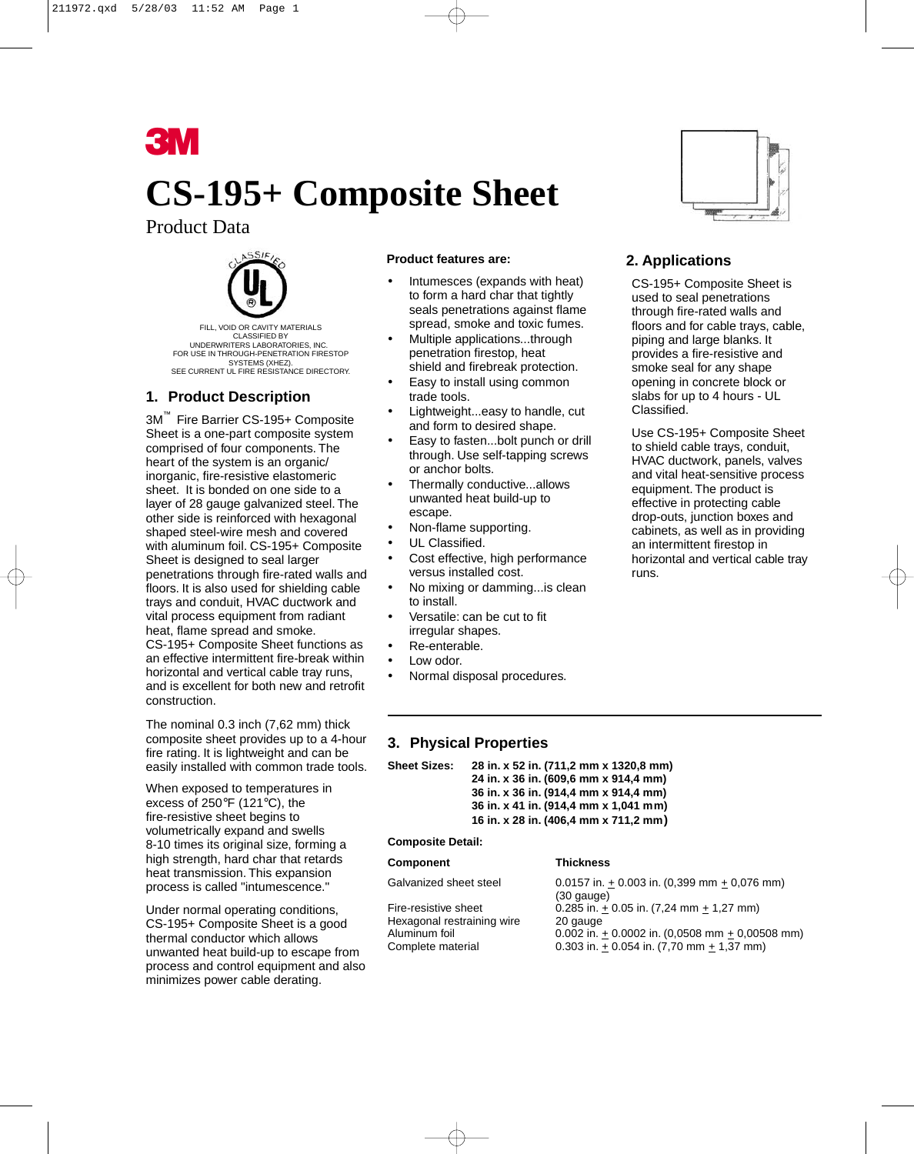

# **CS-195+ Composite Sheet**

## Product Data



FILL, VOID OR CAVITY MATERIALS CLASSIFIED BY UNDERWRITERS LABORATORIES, INC. FOR USE IN THROUGH-PENETRATION FIRESTOP SYSTEMS (XHEZ). SEE CURRENT UL FIRE RESISTANCE DIRECTORY.

## **1. Product Description**

3M™ Fire Barrier CS-195+ Composite Sheet is a one-part composite system comprised of four components. The heart of the system is an organic/ inorganic, fire-resistive elastomeric sheet. It is bonded on one side to a layer of 28 gauge galvanized steel. The other side is reinforced with hexagonal shaped steel-wire mesh and covered with aluminum foil. CS-195+ Composite Sheet is designed to seal larger penetrations through fire-rated walls and floors. It is also used for shielding cable trays and conduit, HVAC ductwork and vital process equipment from radiant heat, flame spread and smoke. CS-195+ Composite Sheet functions as an effective intermittent fire-break within horizontal and vertical cable tray runs, and is excellent for both new and retrofit construction.

The nominal 0.3 inch (7,62 mm) thick composite sheet provides up to a 4-hour fire rating. It is lightweight and can be easily installed with common trade tools.

When exposed to temperatures in excess of 250°F (121°C), the fire-resistive sheet begins to volumetrically expand and swells 8-10 times its original size, forming a high strength, hard char that retards heat transmission. This expansion process is called "intumescence."

Under normal operating conditions, CS-195+ Composite Sheet is a good thermal conductor which allows unwanted heat build-up to escape from process and control equipment and also minimizes power cable derating.

#### **Product features are:**

- Intumesces (expands with heat) to form a hard char that tightly seals penetrations against flame spread, smoke and toxic fumes.
- Multiple applications...through penetration firestop, heat shield and firebreak protection.
- Easy to install using common trade tools.
- Lightweight...easy to handle, cut and form to desired shape.
- Easy to fasten...bolt punch or drill through. Use self-tapping screws or anchor bolts.
- Thermally conductive...allows unwanted heat build-up to escape.
- Non-flame supporting.
- UL Classified.
- Cost effective, high performance versus installed cost.
- No mixing or damming...is clean to install.
- Versatile: can be cut to fit irregular shapes.
- Re-enterable.
- Low odor.
- Normal disposal procedures.

## **3. Physical Properties**

| Sheet Sizes: | 28 in. x 52 in. (711,2 mm x 1320,8 mm) |
|--------------|----------------------------------------|
|              | 24 in. x 36 in. (609,6 mm x 914,4 mm)  |
|              | 36 in. x 36 in. (914,4 mm x 914,4 mm)  |
|              | 36 in. x 41 in. (914,4 mm x 1,041 mm)  |
|              | 16 in. x 28 in. (406,4 mm x 711,2 mm)  |

**Composite Detail:**

#### **Component Thickness**

Hexagonal restraining wire 20 gauge

Galvanized sheet steel  $0.0157$  in.  $\pm 0.003$  in.  $(0,399$  mm  $\pm 0.076$  mm) (30 gauge) Fire-resistive sheet 0.285 in.  $\pm$  0.05 in. (7,24 mm  $\pm$  1,27 mm) Aluminum foil  $0.002$  in. + 0.0002 in. (0,0508 mm + 0,00508 mm) Complete material 0.303 in. + 0.054 in. (7,70 mm + 1,37 mm)



## **2. Applications**

CS-195+ Composite Sheet is used to seal penetrations through fire-rated walls and floors and for cable trays, cable, piping and large blanks. It provides a fire-resistive and smoke seal for any shape opening in concrete block or slabs for up to 4 hours - UL Classified.

Use CS-195+ Composite Sheet to shield cable trays, conduit, HVAC ductwork, panels, valves and vital heat-sensitive process equipment. The product is effective in protecting cable drop-outs, junction boxes and cabinets, as well as in providing an intermittent firestop in horizontal and vertical cable tray runs.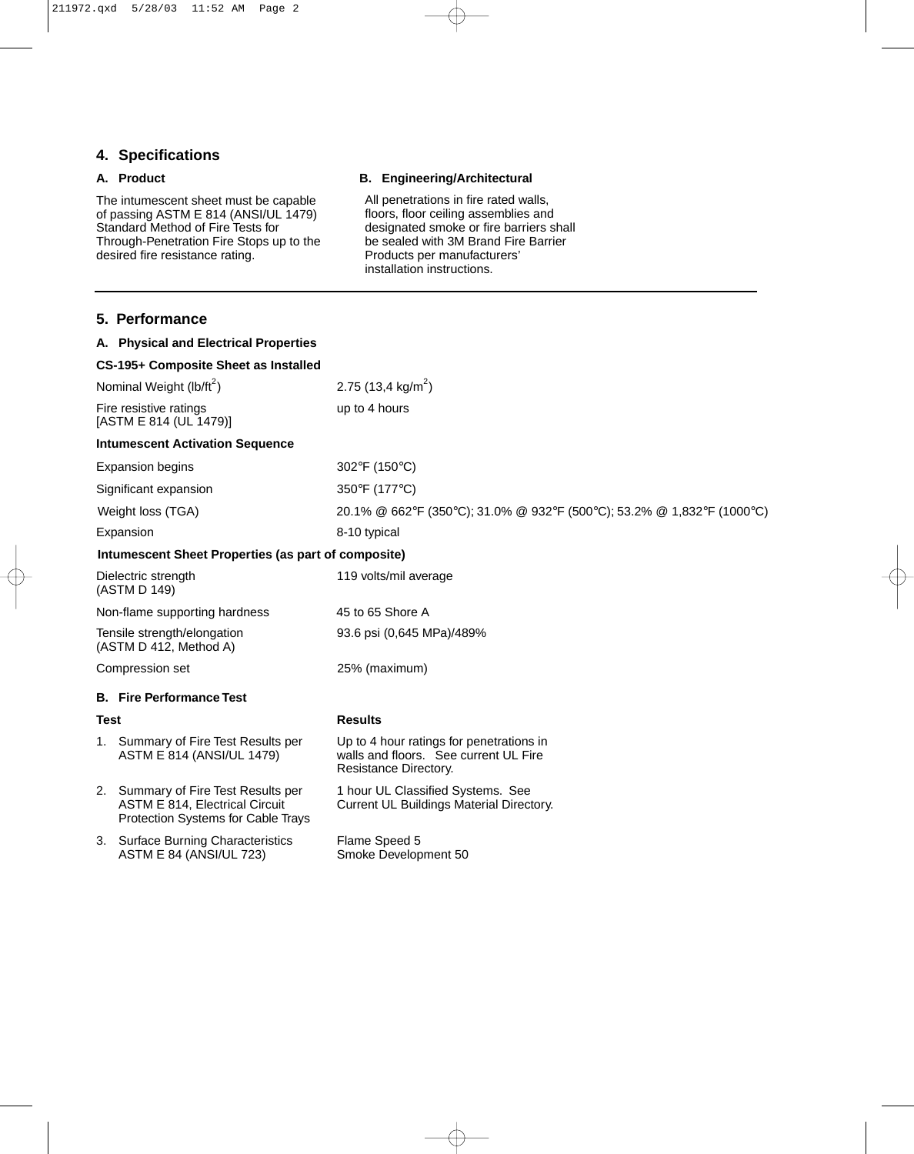## **4. Specifications**

#### **A. Product**

The intumescent sheet must be capable of passing ASTM E 814 (ANSI/UL 1479) Standard Method of Fire Tests for Through-Penetration Fire Stops up to the desired fire resistance rating.

#### **B. Engineering/Architectural**

All penetrations in fire rated walls, floors, floor ceiling assemblies and designated smoke or fire barriers shall be sealed with 3M Brand Fire Barrier Products per manufacturers' installation instructions.

|                                                       | 5. Performance                                                                                                            |                                                                                                            |
|-------------------------------------------------------|---------------------------------------------------------------------------------------------------------------------------|------------------------------------------------------------------------------------------------------------|
|                                                       | A. Physical and Electrical Properties                                                                                     |                                                                                                            |
|                                                       | CS-195+ Composite Sheet as Installed                                                                                      |                                                                                                            |
| Nominal Weight (lb/ft <sup>2</sup> )                  |                                                                                                                           | 2.75 (13,4 kg/m <sup>2</sup> )                                                                             |
| Fire resistive ratings<br>[ASTM E 814 (UL 1479)]      |                                                                                                                           | up to 4 hours                                                                                              |
|                                                       | <b>Intumescent Activation Sequence</b>                                                                                    |                                                                                                            |
| <b>Expansion begins</b>                               |                                                                                                                           | 302°F (150°C)                                                                                              |
| Significant expansion                                 |                                                                                                                           | 350°F (177°C)                                                                                              |
| Weight loss (TGA)                                     |                                                                                                                           | 20.1% @ 662°F (350°C); 31.0% @ 932°F (500°C); 53.2% @ 1,832°F (1000°C)                                     |
| Expansion                                             |                                                                                                                           | 8-10 typical                                                                                               |
|                                                       | Intumescent Sheet Properties (as part of composite)                                                                       |                                                                                                            |
| Dielectric strength<br>(ASTM D 149)                   |                                                                                                                           | 119 volts/mil average                                                                                      |
| Non-flame supporting hardness                         |                                                                                                                           | 45 to 65 Shore A                                                                                           |
| Tensile strength/elongation<br>(ASTM D 412, Method A) |                                                                                                                           | 93.6 psi (0,645 MPa)/489%                                                                                  |
| Compression set                                       |                                                                                                                           | 25% (maximum)                                                                                              |
|                                                       | <b>B.</b> Fire Performance Test                                                                                           |                                                                                                            |
| <b>Test</b>                                           |                                                                                                                           | <b>Results</b>                                                                                             |
|                                                       | 1. Summary of Fire Test Results per<br>ASTM E 814 (ANSI/UL 1479)                                                          | Up to 4 hour ratings for penetrations in<br>walls and floors. See current UL Fire<br>Resistance Directory. |
|                                                       | 2. Summary of Fire Test Results per<br><b>ASTM E 814, Electrical Circuit</b><br><b>Protection Systems for Cable Trays</b> | 1 hour UL Classified Systems. See<br>Current UL Buildings Material Directory.                              |
|                                                       | 3. Surface Burning Characteristics<br><b>ASTM E 84 (ANSI/UL 723)</b>                                                      | Flame Speed 5<br>Smoke Development 50                                                                      |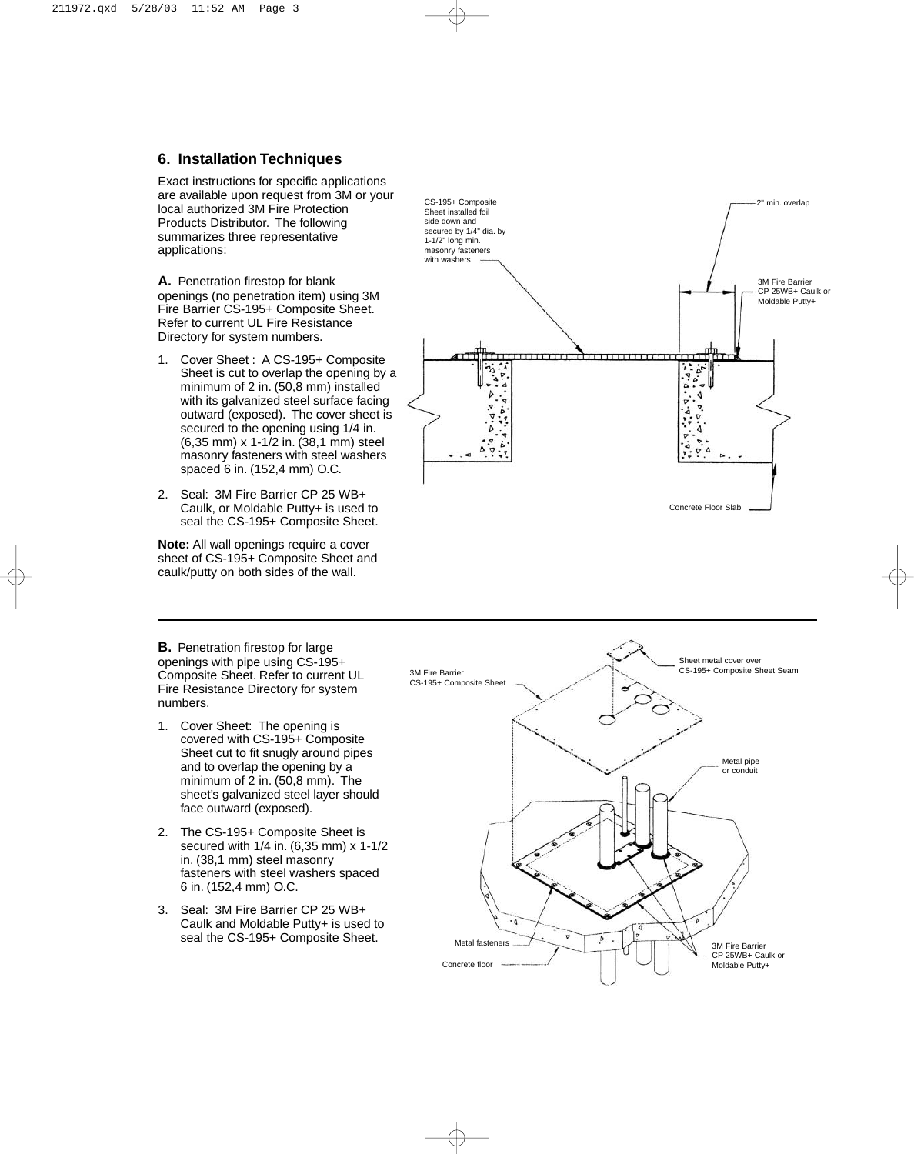#### **6. Installation Techniques**

Exact instructions for specific applications are available upon request from 3M or your local authorized 3M Fire Protection Products Distributor. The following summarizes three representative applications:

**A.** Penetration firestop for blank openings (no penetration item) using 3M Fire Barrier CS-195+ Composite Sheet. Refer to current UL Fire Resistance Directory for system numbers.

- 1. Cover Sheet : A CS-195+ Composite Sheet is cut to overlap the opening by a minimum of 2 in. (50,8 mm) installed with its galvanized steel surface facing outward (exposed). The cover sheet is secured to the opening using 1/4 in. (6,35 mm) x 1-1/2 in. (38,1 mm) steel masonry fasteners with steel washers spaced 6 in. (152,4 mm) O.C.
- 2. Seal: 3M Fire Barrier CP 25 WB+ Caulk, or Moldable Putty+ is used to seal the CS-195+ Composite Sheet.

**Note:** All wall openings require a cover sheet of CS-195+ Composite Sheet and caulk/putty on both sides of the wall.



**B.** Penetration firestop for large openings with pipe using CS-195+ Composite Sheet. Refer to current UL Fire Resistance Directory for system numbers.

- 1. Cover Sheet: The opening is covered with CS-195+ Composite Sheet cut to fit snugly around pipes and to overlap the opening by a minimum of 2 in. (50,8 mm). The sheet's galvanized steel layer should face outward (exposed).
- 2. The CS-195+ Composite Sheet is secured with 1/4 in. (6,35 mm) x 1-1/2 in. (38,1 mm) steel masonry fasteners with steel washers spaced 6 in. (152,4 mm) O.C.
- 3. Seal: 3M Fire Barrier CP 25 WB+ Caulk and Moldable Putty+ is used to seal the CS-195+ Composite Sheet.